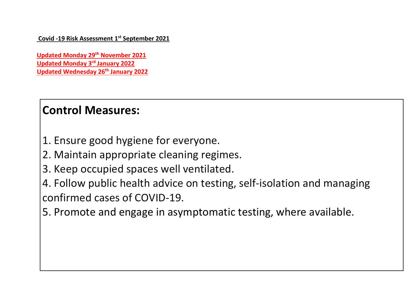**Covid -19 Risk Assessment 1st September 2021**

**Updated Monday 29th November 2021 Updated Monday 3rd January 2022 Updated Wednesday 26th January 2022**

# **Control Measures:**

- 1. Ensure good hygiene for everyone.
- 2. Maintain appropriate cleaning regimes.
- 3. Keep occupied spaces well ventilated.
- 4. Follow public health advice on testing, self-isolation and managing confirmed cases of COVID-19.
- 5. Promote and engage in asymptomatic testing, where available.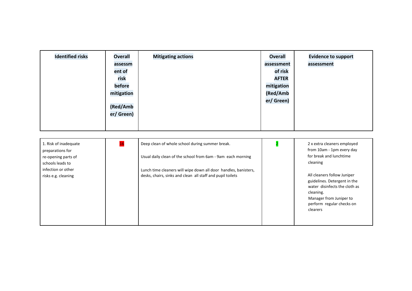| <b>Identified risks</b> | <b>Mitigating actions</b><br><b>Overall</b><br>assessm<br>ent of<br>risk<br>before<br>mitigation<br>(Red/Amb<br>er/ Green) | <b>Overall</b><br>assessment<br>of risk<br><b>AFTER</b><br>mitigation<br>(Red/Amb<br>er/ Green) | <b>Evidence to support</b><br>assessment |
|-------------------------|----------------------------------------------------------------------------------------------------------------------------|-------------------------------------------------------------------------------------------------|------------------------------------------|
|-------------------------|----------------------------------------------------------------------------------------------------------------------------|-------------------------------------------------------------------------------------------------|------------------------------------------|

| 1. Risk of inadequate<br>preparations for | 16 | Deep clean of whole school during summer break.                 | 2 x extra cleaners employed<br>from 10am - 1pm every day                                                                                                                      |
|-------------------------------------------|----|-----------------------------------------------------------------|-------------------------------------------------------------------------------------------------------------------------------------------------------------------------------|
| re-opening parts of                       |    | Usual daily clean of the school from 6am - 9am each morning     | for break and lunchtime                                                                                                                                                       |
| schools leads to                          |    |                                                                 | cleaning                                                                                                                                                                      |
| infection or other                        |    | Lunch time cleaners will wipe down all door handles, banisters, |                                                                                                                                                                               |
| risks e.g. cleaning                       |    | desks, chairs, sinks and clean all staff and pupil toilets      | All cleaners follow Juniper<br>guidelines. Detergent in the<br>water disinfects the cloth as<br>cleaning.<br>Manager from Juniper to<br>perform regular checks on<br>clearers |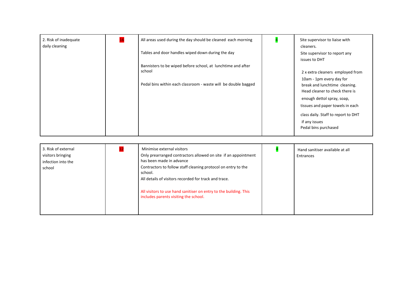| 2. Risk of inadequate<br>daily cleaning | 16 | All areas used during the day should be cleaned each morning   | Site supervisor to liaise with<br>cleaners.               |
|-----------------------------------------|----|----------------------------------------------------------------|-----------------------------------------------------------|
|                                         |    | Tables and door handles wiped down during the day              | Site supervisor to report any                             |
|                                         |    |                                                                | issues to DHT                                             |
|                                         |    | Bannisters to be wiped before school, at lunchtime and after   |                                                           |
|                                         |    | school                                                         | 2 x extra cleaners employed from                          |
|                                         |    | Pedal bins within each classroom - waste will be double bagged | 10am - 1pm every day for<br>break and lunchtime cleaning. |
|                                         |    |                                                                | Head cleaner to check there is                            |
|                                         |    |                                                                | enough dettol spray, soap,                                |
|                                         |    |                                                                | tissues and paper towels in each                          |
|                                         |    |                                                                | class daily. Staff to report to DHT                       |
|                                         |    |                                                                | if any issues                                             |
|                                         |    |                                                                | Pedal bins purchased                                      |
|                                         |    |                                                                |                                                           |

| 3. Risk of external<br>visitors bringing<br>infection into the<br>school |  | Minimise external visitors<br>Only prearranged contractors allowed on site if an appointment<br>has been made in advance<br>Contractors to follow staff cleaning protocol on entry to the<br>school.<br>All details of visitors recorded for track and trace.<br>All visitors to use hand sanitiser on entry to the building. This<br>includes parents visiting the school. |  | Hand sanitiser available at all<br>Entrances |
|--------------------------------------------------------------------------|--|-----------------------------------------------------------------------------------------------------------------------------------------------------------------------------------------------------------------------------------------------------------------------------------------------------------------------------------------------------------------------------|--|----------------------------------------------|
|--------------------------------------------------------------------------|--|-----------------------------------------------------------------------------------------------------------------------------------------------------------------------------------------------------------------------------------------------------------------------------------------------------------------------------------------------------------------------------|--|----------------------------------------------|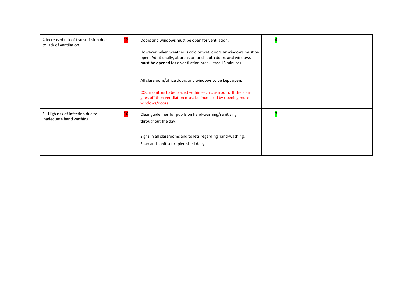| 4. Increased risk of transmission due<br>to lack of ventilation. | Doors and windows must be open for ventilation.                                                                                                                                            |  |
|------------------------------------------------------------------|--------------------------------------------------------------------------------------------------------------------------------------------------------------------------------------------|--|
|                                                                  | However, when weather is cold or wet, doors or windows must be<br>open. Additionally, at break or lunch both doors and windows<br>must be opened for a ventilation break least 15 minutes. |  |
|                                                                  | All classroom/office doors and windows to be kept open.                                                                                                                                    |  |
|                                                                  | CO2 monitors to be placed within each classroom. If the alarm<br>goes off then ventilation must be increased by opening more<br>windows/doors                                              |  |
| 5 High risk of infection due to<br>inadequate hand washing       | Clear guidelines for pupils on hand-washing/sanitising<br>throughout the day.                                                                                                              |  |
|                                                                  | Signs in all classrooms and toilets regarding hand-washing.<br>Soap and sanitiser replenished daily.                                                                                       |  |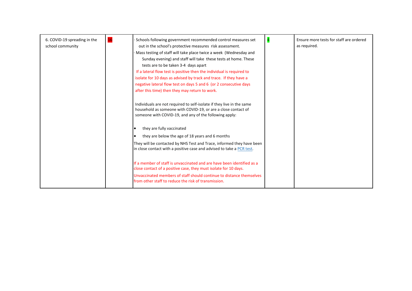| 16<br>6. COVID-19 spreading in the<br>school community | Schools following government recommended control measures set<br>out in the school's protective measures risk assessment.<br>Mass testing of staff will take place twice a week (Wednesday and<br>Sunday evening) and staff will take these tests at home. These<br>tests are to be taken 3-4 days apart<br>If a lateral flow test is positive then the individual is required to<br>isolate for 10 days as advised by track and trace. If they have a<br>negative lateral flow test on days 5 and 6 (or 2 consecutive days<br>after this time) then they may return to work.<br>Individuals are not required to self-isolate if they live in the same<br>household as someone with COVID-19, or are a close contact of<br>someone with COVID-19, and any of the following apply:<br>they are fully vaccinated<br>they are below the age of 18 years and 6 months<br>They will be contacted by NHS Test and Trace, informed they have been<br>in close contact with a positive case and advised to take a PCR test.<br>If a member of staff is unvaccinated and are have been identified as a<br>close contact of a positive case, they must isolate for 10 days.<br>Unvaccinated members of staff should continue to distance themselves | Ensure more tests for staff are ordered<br>as required. |
|--------------------------------------------------------|-------------------------------------------------------------------------------------------------------------------------------------------------------------------------------------------------------------------------------------------------------------------------------------------------------------------------------------------------------------------------------------------------------------------------------------------------------------------------------------------------------------------------------------------------------------------------------------------------------------------------------------------------------------------------------------------------------------------------------------------------------------------------------------------------------------------------------------------------------------------------------------------------------------------------------------------------------------------------------------------------------------------------------------------------------------------------------------------------------------------------------------------------------------------------------------------------------------------------------------------|---------------------------------------------------------|
|                                                        | from other staff to reduce the risk of transmission.                                                                                                                                                                                                                                                                                                                                                                                                                                                                                                                                                                                                                                                                                                                                                                                                                                                                                                                                                                                                                                                                                                                                                                                      |                                                         |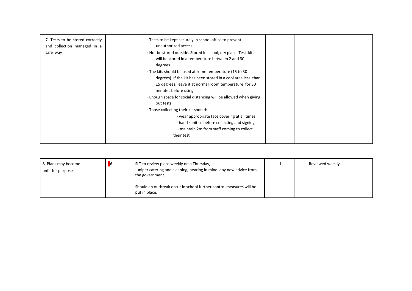| 7. Tests to be stored correctly<br>and collection managed in a<br>safe way | · Tests to be kept securely in school office to prevent<br>unauthorized access<br>· Not be stored outside. Stored in a cool, dry place. Test kits<br>will be stored in a temperature between 2 and 30<br>degrees.<br>· The kits should be used at room temperature (15 to 30<br>degrees). If the kit has been stored in a cool area less than<br>15 degrees, leave it at normal room temperature for 30<br>minutes before using.<br>. Enough space for social distancing will be allowed when giving<br>out tests.<br>· Those collecting their kit should:<br>- wear appropriate face covering at all times<br>- hand sanitise before collecting and signing<br>- maintain 2m from staff coming to collect |  |
|----------------------------------------------------------------------------|------------------------------------------------------------------------------------------------------------------------------------------------------------------------------------------------------------------------------------------------------------------------------------------------------------------------------------------------------------------------------------------------------------------------------------------------------------------------------------------------------------------------------------------------------------------------------------------------------------------------------------------------------------------------------------------------------------|--|
|                                                                            | their test                                                                                                                                                                                                                                                                                                                                                                                                                                                                                                                                                                                                                                                                                                 |  |

| 8. Plans may become<br>unfit for purpose | SLT to review plans weekly on a Thursday,<br>Juniper catering and cleaning, bearing in mind any new advice from<br>the government | Reviewed weekly. |
|------------------------------------------|-----------------------------------------------------------------------------------------------------------------------------------|------------------|
|                                          | Should an outbreak occur in school further control measures will be<br>put in place.                                              |                  |